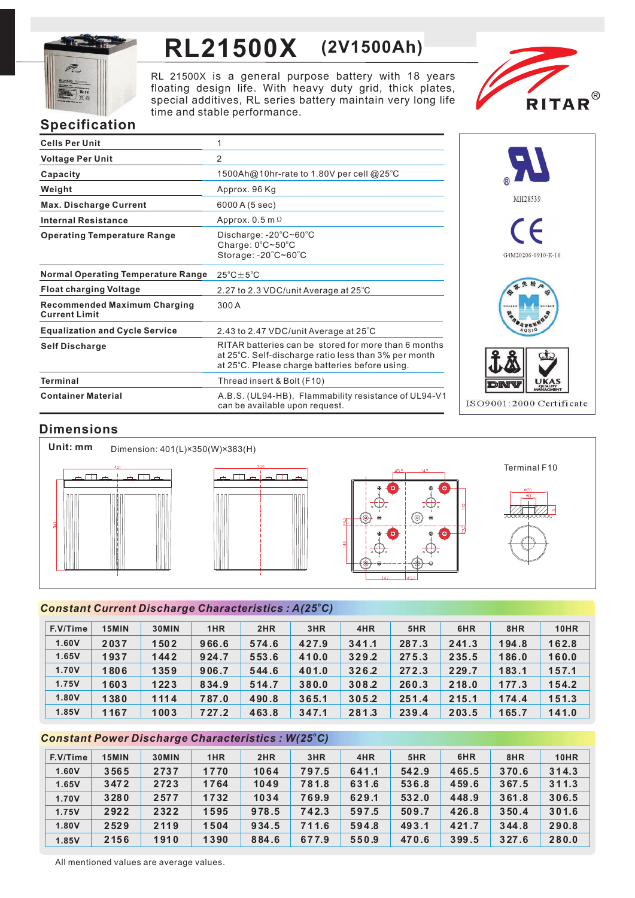

# **RL21500X (2V1500Ah)**

RL 21500X is a general purpose battery with 18 years floating design life. With heavy duty grid, thick plates, special additives, RL series battery maintain very long life time and stable performance.



# **Specification**

| <b>Cells Per Unit</b>                                       | 1                                                                                                                                                              |
|-------------------------------------------------------------|----------------------------------------------------------------------------------------------------------------------------------------------------------------|
| <b>Voltage Per Unit</b>                                     | 2                                                                                                                                                              |
| Capacity                                                    | 1500Ah@10hr-rate to 1.80V per cell @25°C                                                                                                                       |
| Weight                                                      | Approx. 96 Kg                                                                                                                                                  |
| <b>Max. Discharge Current</b>                               | 6000 A (5 sec)                                                                                                                                                 |
| <b>Internal Resistance</b>                                  | Approx. $0.5$ m $\Omega$                                                                                                                                       |
| <b>Operating Temperature Range</b>                          | Discharge: $-20^{\circ}$ C $\sim$ 60 $^{\circ}$ C<br>Charge: $0^{\circ}$ C $\sim$ 50 $^{\circ}$ C<br>Storage: -20°C~60°C                                       |
| <b>Normal Operating Temperature Range</b>                   | $25^{\circ}$ C $\pm$ 5 $^{\circ}$ C                                                                                                                            |
| <b>Float charging Voltage</b>                               | 2.27 to 2.3 VDC/unit Average at 25°C                                                                                                                           |
| <b>Recommended Maximum Charging</b><br><b>Current Limit</b> | 300 A                                                                                                                                                          |
| <b>Equalization and Cycle Service</b>                       | 2.43 to 2.47 VDC/unit Average at 25°C                                                                                                                          |
| <b>Self Discharge</b>                                       | RITAR batteries can be stored for more than 6 months<br>at 25°C. Self-discharge ratio less than 3% per month<br>at 25°C. Please charge batteries before using. |
| Terminal                                                    | Thread insert & Bolt (F10)                                                                                                                                     |
| <b>Container Material</b>                                   | A.B.S. (UL94-HB), Flammability resistance of UL94-V1<br>can be available upon request.                                                                         |



# **Dimensions**









Terminal F10

### *<sup>o</sup> Constant Current Discharge Characteristics : A(25 C)*

| F.V/Time | 15MIN | 30MIN | 1HR     | 2HR   | 3HR   | 4HR   | 5HR   | 6HR   | 8HR   | 10HR  |
|----------|-------|-------|---------|-------|-------|-------|-------|-------|-------|-------|
| 1.60V    | 2037  | 1502  | 966.6   | 574.6 | 427.9 | 341.1 | 287.3 | 241.3 | 194.8 | 162.8 |
| 1.65V    | 1937  | 1442  | 924.7   | 553.6 | 410.0 | 329.2 | 275.3 | 235.5 | 186.0 | 160.0 |
| 1.70V    | 1806  | 1359  | 906.7   | 544.6 | 401.0 | 326.2 | 272.3 | 229.7 | 183.1 | 157.1 |
| 1.75V    | 1603  | 1223  | 834.9   | 514.7 | 380.0 | 308.2 | 260.3 | 218.0 | 177.3 | 154.2 |
| 1.80V    | 1380  | 1114  | 787.0   | 490.8 | 365.1 | 305.2 | 251.4 | 215.1 | 174.4 | 151.3 |
| 1.85V    | 1167  | 1003  | 7 27 .2 | 463.8 | 347.1 | 281.3 | 239.4 | 203.5 | 165.7 | 141.0 |

## *<sup>o</sup> Constant Power Discharge Characteristics : W(25 C)*

| F.V/Time | 15MIN | 30MIN | 1HR  | 2HR   | 3HR   | 4HR   | 5HR   | 6HR   | 8HR   | <b>10HR</b> |
|----------|-------|-------|------|-------|-------|-------|-------|-------|-------|-------------|
| 1.60V    | 3565  | 2737  | 1770 | 1064  | 797.5 | 641.1 | 542.9 | 465.5 | 370.6 | 314.3       |
| 1.65V    | 3472  | 2723  | 1764 | 1049  | 781.8 | 631.6 | 536.8 | 459.6 | 367.5 | 311.3       |
| 1.70V    | 3280  | 2577  | 1732 | 1034  | 769.9 | 629.1 | 532.0 | 448.9 | 361.8 | 306.5       |
| 1.75V    | 2922  | 2322  | 1595 | 978.5 | 742.3 | 597.5 | 509.7 | 426.8 | 350.4 | 301.6       |
| 1.80V    | 2529  | 2119  | 1504 | 934.5 | 711.6 | 594.8 | 493.1 | 421.7 | 344.8 | 290.8       |
| 1.85V    | 2156  | 1910  | 1390 | 884.6 | 677.9 | 550.9 | 470.6 | 399.5 | 327.6 | 280.0       |

All mentioned values are average values.